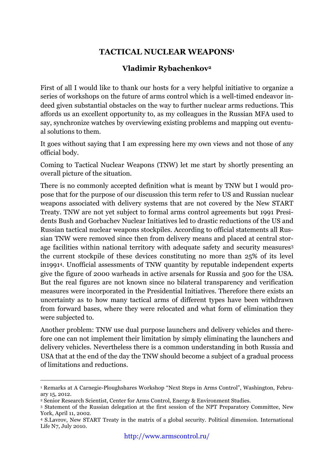## **TACTICAL NUCLEAR WEAPONS1**

## **Vladimir Rybachenkov2**

First of all I would like to thank our hosts for a very helpful initiative to organize a series of workshops on the future of arms control which is a well-timed endeavor indeed given substantial obstacles on the way to further nuclear arms reductions. This affords us an excellent opportunity to, as my colleagues in the Russian MFA used to say, synchronize watches by overviewing existing problems and mapping out eventual solutions to them.

It goes without saying that I am expressing here my own views and not those of any official body.

Coming to Tactical Nuclear Weapons (TNW) let me start by shortly presenting an overall picture of the situation.

There is no commonly accepted definition what is meant by TNW but I would propose that for the purpose of our discussion this term refer to US and Russian nuclear weapons associated with delivery systems that are not covered by the New START Treaty. TNW are not yet subject to formal arms control agreements but 1991 Presidents Bush and Gorbachev Nuclear Initiatives led to drastic reductions of the US and Russian tactical nuclear weapons stockpiles. According to official statements all Russian TNW were removed since then from delivery means and placed at central storage facilities within national territory with adequate safety and security measures3 the current stockpile of these devices constituting no more than 25% of its level in19914. Unofficial assessments of TNW quantity by reputable independent experts give the figure of 2000 warheads in active arsenals for Russia and 500 for the USA. But the real figures are not known since no bilateral transparency and verification measures were incorporated in the Presidential Initiatives. Therefore there exists an uncertainty as to how many tactical arms of different types have been withdrawn from forward bases, where they were relocated and what form of elimination they were subjected to.

Another problem: TNW use dual purpose launchers and delivery vehicles and therefore one can not implement their limitation by simply eliminating the launchers and delivery vehicles. Nevertheless there is a common understanding in both Russia and USA that at the end of the day the TNW should become a subject of a gradual process of limitations and reductions.

 <sup>1</sup> Remarks at A Carnegie-Ploughshares Workshop "Next Steps in Arms Control", Washington, February 15, 2012.

<sup>2</sup> Senior Research Scientist, Center for Arms Control, Energy & Environment Studies.

<sup>3</sup> Statement of the Russian delegation at the first session of the NPT Preparatory Committee, New York, April 11, 2002.

<sup>4</sup> S.Lavrov, New START Treaty in the matrix of a global security. Political dimension. International Life N7, July 2010.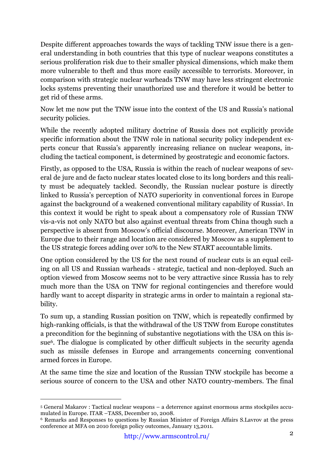Despite different approaches towards the ways of tackling TNW issue there is a general understanding in both countries that this type of nuclear weapons constitutes a serious proliferation risk due to their smaller physical dimensions, which make them more vulnerable to theft and thus more easily accessible to terrorists. Moreover, in comparison with strategic nuclear warheads TNW may have less stringent electronic locks systems preventing their unauthorized use and therefore it would be better to get rid of these arms.

Now let me now put the TNW issue into the context of the US and Russia's national security policies.

While the recently adopted military doctrine of Russia does not explicitly provide specific information about the TNW role in national security policy independent experts concur that Russia's apparently increasing reliance on nuclear weapons, including the tactical component, is determined by geostrategic and economic factors.

Firstly, as opposed to the USA, Russia is within the reach of nuclear weapons of several de jure and de facto nuclear states located close to its long borders and this reality must be adequately tackled. Secondly, the Russian nuclear posture is directly linked to Russia's perception of NATO superiority in conventional forces in Europe against the background of a weakened conventional military capability of Russia5. In this context it would be right to speak about a compensatory role of Russian TNW vis-a-vis not only NATO but also against eventual threats from China though such a perspective is absent from Moscow's official discourse. Moreover, American TNW in Europe due to their range and location are considered by Moscow as a supplement to the US strategic forces adding over 10% to the New START accountable limits.

One option considered by the US for the next round of nuclear cuts is an equal ceiling on all US and Russian warheads - strategic, tactical and non-deployed. Such an option viewed from Moscow seems not to be very attractive since Russia has to rely much more than the USA on TNW for regional contingencies and therefore would hardly want to accept disparity in strategic arms in order to maintain a regional stability.

To sum up, a standing Russian position on TNW, which is repeatedly confirmed by high-ranking officials, is that the withdrawal of the US TNW from Europe constitutes a precondition for the beginning of substantive negotiations with the USA on this issue6. The dialogue is complicated by other difficult subjects in the security agenda such as missile defenses in Europe and arrangements concerning conventional armed forces in Europe.

At the same time the size and location of the Russian TNW stockpile has become a serious source of concern to the USA and other NATO country-members. The final

 <sup>5</sup> General Makarov : Tactical nuclear weapons – a deterrence against enormous arms stockpiles accumulated in Europe. ITAR –TASS, December 10, 2008.

<sup>6</sup> Remarks and Responses to questions by Russian Minister of Foreign Affairs S.Lavrov at the press conference at MFA on 2010 foreign policy outcomes, January 13,2011.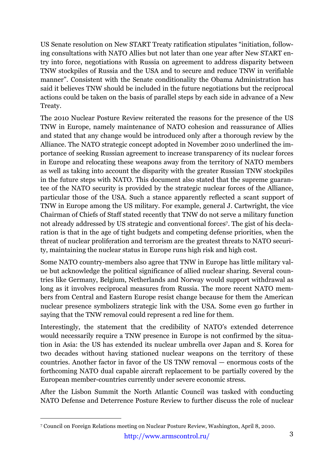US Senate resolution on New START Treaty ratification stipulates "initiation, following consultations with NATO Allies but not later than one year after New START entry into force, negotiations with Russia on agreement to address disparity between TNW stockpiles of Russia and the USA and to secure and reduce TNW in verifiable manner". Consistent with the Senate conditionality the Obama Administration has said it believes TNW should be included in the future negotiations but the reciprocal actions could be taken on the basis of parallel steps by each side in advance of a New Treaty.

The 2010 Nuclear Posture Review reiterated the reasons for the presence of the US TNW in Europe, namely maintenance of NATO cohesion and reassurance of Allies and stated that any change would be introduced only after a thorough review by the Alliance. The NATO strategic concept adopted in November 2010 underlined the importance of seeking Russian agreement to increase transparency of its nuclear forces in Europe and relocating these weapons away from the territory of NATO members as well as taking into account the disparity with the greater Russian TNW stockpiles in the future steps with NATO. This document also stated that the supreme guarantee of the NATO security is provided by the strategic nuclear forces of the Alliance, particular those of the USA. Such a stance apparently reflected a scant support of TNW in Europe among the US military. For example, general J. Cartwright, the vice Chairman of Chiefs of Staff stated recently that TNW do not serve a military function not already addressed by US strategic and conventional forces7. The gist of his declaration is that in the age of tight budgets and competing defense priorities, when the threat of nuclear proliferation and terrorism are the greatest threats to NATO security, maintaining the nuclear status in Europe runs high risk and high cost.

Some NATO country-members also agree that TNW in Europe has little military value but acknowledge the political significance of allied nuclear sharing. Several countries like Germany, Belgium, Netherlands and Norway would support withdrawal as long as it involves reciprocal measures from Russia. The more recent NATO members from Central and Eastern Europe resist change because for them the American nuclear presence symbolizers strategic link with the USA. Some even go further in saying that the TNW removal could represent a red line for them.

Interestingly, the statement that the credibility of NATO's extended deterrence would necessarily require a TNW presence in Europe is not confirmed by the situation in Asia: the US has extended its nuclear umbrella over Japan and S. Korea for two decades without having stationed nuclear weapons on the territory of these countries. Another factor in favor of the US TNW removal — enormous costs of the forthcoming NATO dual capable aircraft replacement to be partially covered by the European member-countries currently under severe economic stress.

After the Lisbon Summit the North Atlantic Council was tasked with conducting NATO Defense and Deterrence Posture Review to further discuss the role of nuclear

 <sup>7</sup> Council on Foreign Relations meeting on Nuclear Posture Review, Washington, April 8, 2010.